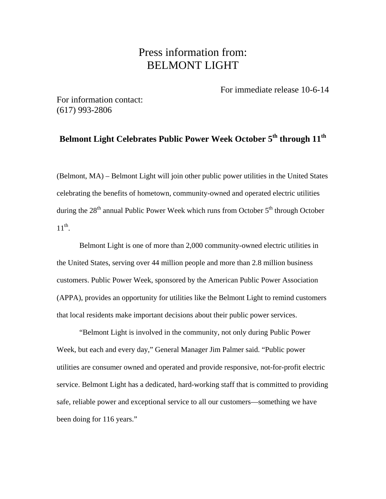## Press information from: BELMONT LIGHT

For immediate release 10-6-14

For information contact: (617) 993-2806

## **Belmont Light Celebrates Public Power Week October 5th through 11th**

(Belmont, MA) – Belmont Light will join other public power utilities in the United States celebrating the benefits of hometown, community-owned and operated electric utilities during the  $28<sup>th</sup>$  annual Public Power Week which runs from October  $5<sup>th</sup>$  through October  $11^{th}$ .

Belmont Light is one of more than 2,000 community-owned electric utilities in the United States, serving over 44 million people and more than 2.8 million business customers. Public Power Week, sponsored by the American Public Power Association (APPA), provides an opportunity for utilities like the Belmont Light to remind customers that local residents make important decisions about their public power services.

"Belmont Light is involved in the community, not only during Public Power Week, but each and every day," General Manager Jim Palmer said. "Public power utilities are consumer owned and operated and provide responsive, not-for-profit electric service. Belmont Light has a dedicated, hard-working staff that is committed to providing safe, reliable power and exceptional service to all our customers—something we have been doing for 116 years."